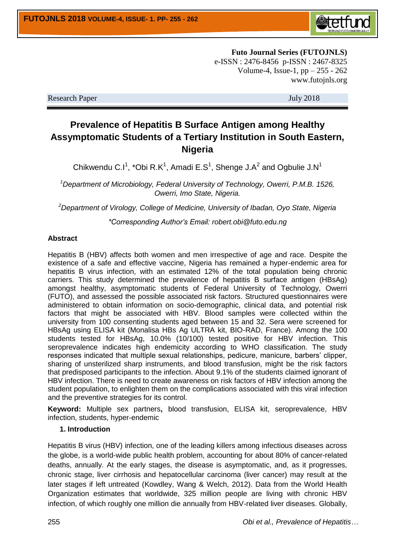

**Futo Journal Series (FUTOJNLS)** e-ISSN : 2476-8456 p-ISSN : 2467-8325 Volume-4, Issue-1, pp – 255 - 262 www.futojnls.org

Research Paper July 2018

# **Prevalence of Hepatitis B Surface Antigen among Healthy Assymptomatic Students of a Tertiary Institution in South Eastern, Nigeria**

Chikwendu C.I<sup>1</sup>, \*Obi R.K<sup>1</sup>, Amadi E.S<sup>1</sup>, Shenge J.A<sup>2</sup> and Ogbulie J.N<sup>1</sup>

*<sup>1</sup>Department of Microbiology, Federal University of Technology, Owerri, P.M.B. 1526, Owerri, Imo State, Nigeria.*

*<sup>2</sup>Department of Virology, College of Medicine, University of Ibadan, Oyo State, Nigeria*

*\*Corresponding Author's Email: robert.obi@futo.edu.ng*

#### **Abstract**

Hepatitis B (HBV) affects both women and men irrespective of age and race. Despite the existence of a safe and effective vaccine, Nigeria has remained a hyper-endemic area for hepatitis B virus infection, with an estimated 12% of the total population being chronic carriers. This study determined the prevalence of hepatitis B surface antigen (HBsAg) amongst healthy, asymptomatic students of Federal University of Technology, Owerri (FUTO), and assessed the possible associated risk factors. Structured questionnaires were administered to obtain information on socio-demographic, clinical data, and potential risk factors that might be associated with HBV. Blood samples were collected within the university from 100 consenting students aged between 15 and 32. Sera were screened for HBsAg using ELISA kit (Monalisa HBs Ag ULTRA kit, BIO-RAD, France). Among the 100 students tested for HBsAg, 10.0% (10/100) tested positive for HBV infection. This seroprevalence indicates high endemicity according to WHO classification. The study responses indicated that multiple sexual relationships, pedicure, manicure, barbers' clipper, sharing of unsterilized sharp instruments, and blood transfusion, might be the risk factors that predisposed participants to the infection. About 9.1% of the students claimed ignorant of HBV infection. There is need to create awareness on risk factors of HBV infection among the student population, to enlighten them on the complications associated with this viral infection and the preventive strategies for its control.

**Keyword:** Multiple sex partners**,** blood transfusion, ELISA kit, seroprevalence, HBV infection, students, hyper-endemic

#### **1. Introduction**

Hepatitis B virus (HBV) infection, one of the leading killers among infectious diseases across the globe, is a world-wide public health problem, accounting for about 80% of cancer-related deaths, annually. At the early stages, the disease is asymptomatic, and, as it progresses, chronic stage, liver cirrhosis and hepatocellular carcinoma (liver cancer) may result at the later stages if left untreated (Kowdley, Wang & Welch, 2012). Data from the World Health Organization estimates that worldwide, 325 million people are living with chronic HBV infection, of which roughly one million die annually from HBV-related liver diseases. Globally,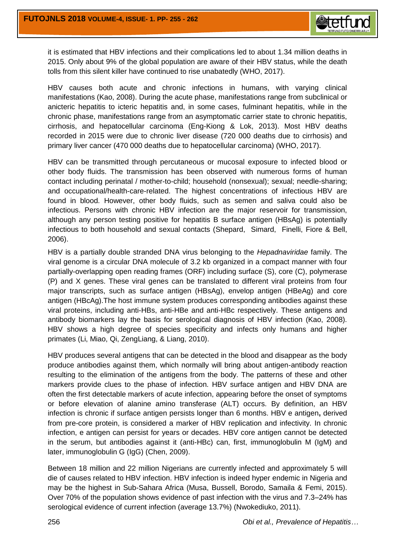

it is estimated that HBV infections and their complications led to about 1.34 million deaths in 2015. Only about 9% of the global population are aware of their HBV status, while the death tolls from this silent killer have continued to rise unabatedly (WHO, 2017).

HBV causes both acute and chronic infections in humans, with varying clinical manifestations (Kao, 2008). During the acute phase, manifestations range from subclinical or anicteric hepatitis to icteric hepatitis and, in some cases, fulminant hepatitis, while in the chronic phase, manifestations range from an asymptomatic carrier state to chronic hepatitis, cirrhosis, and hepatocellular carcinoma (Eng-Kiong & Lok, 2013). Most HBV deaths recorded in 2015 were due to chronic liver disease (720 000 deaths due to cirrhosis) and primary liver cancer (470 000 deaths due to hepatocellular carcinoma) (WHO, 2017).

HBV can be transmitted through percutaneous or mucosal exposure to infected blood or other body fluids. The transmission has been observed with numerous forms of human contact including perinatal / mother-to-child; household (nonsexual); sexual; needle-sharing; and occupational/health-care-related. The highest concentrations of infectious HBV are found in blood. However, other body fluids, such as semen and saliva could also be infectious. Persons with chronic HBV infection are the major reservoir for transmission, although any person testing positive for hepatitis B surface antigen (HBsAg) is potentially infectious to both household and sexual contacts [\(Shepard,](http://epirev.oxfordjournals.org/search?author1=Colin+W.+Shepard&sortspec=date&submit=Submit) [Simard,](http://epirev.oxfordjournals.org/search?author1=Edgar+P.+Simard&sortspec=date&submit=Submit) [Finelli,](http://epirev.oxfordjournals.org/search?author1=Lyn+Finelli&sortspec=date&submit=Submit) [Fiore](http://epirev.oxfordjournals.org/search?author1=Anthony+E.+Fiore&sortspec=date&submit=Submit) & [Bell,](http://epirev.oxfordjournals.org/search?author1=Beth+P.+Bell&sortspec=date&submit=Submit) 2006).

HBV is a partially double stranded DNA virus belonging to the *Hepadnaviridae* family. The viral genome is a circular DNA molecule of 3.2 kb organized in a compact manner with four partially-overlapping open reading frames (ORF) including surface (S), core (C), polymerase (P) and X genes. These viral genes can be translated to different viral proteins from four major transcripts, such as surface antigen (HBsAg), envelop antigen (HBeAg) and core antigen (HBcAg).The host immune system produces corresponding antibodies against these viral proteins, including anti-HBs, anti-HBe and anti-HBc respectively. These antigens and antibody biomarkers lay the basis for serological diagnosis of HBV infection (Kao, 2008). HBV shows a high degree of species specificity and infects only humans and higher primates (Li, Miao, Qi, ZengLiang, & Liang, 2010).

HBV produces several antigens that can be detected in the blood and disappear as the body produce antibodies against them, which normally will bring about antigen-antibody reaction resulting to the elimination of the antigens from the body. The patterns of these and other markers provide clues to the phase of infection. HBV surface antigen and HBV DNA are often the first detectable markers of acute infection, appearing before the onset of symptoms or before elevation of alanine amino transferase (ALT) occurs. By definition, an HBV infection is chronic if surface antigen persists longer than 6 months. HBV e antigen**,** derived from pre-core protein, is considered a marker of HBV replication and infectivity. In chronic infection, e antigen can persist for years or decades. HBV core antigen cannot be detected in the serum, but antibodies against it (anti-HBc) can, first, immunoglobulin M (IgM) and later, immunoglobulin G (IgG) (Chen, 2009).

Between 18 million and 22 million Nigerians are currently infected and approximately 5 will die of causes related to HBV infection. HBV infection is indeed hyper endemic in Nigeria and may be the highest in Sub-Sahara Africa (Musa, Bussell, Borodo, Samaila & Femi, 2015). Over 70% of the population shows evidence of past infection with the virus and 7.3–24% has serological evidence of current infection (average 13.7%) (Nwokediuko, 2011).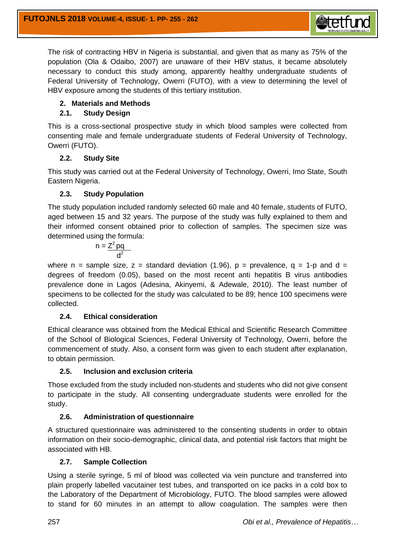

The risk of contracting HBV in Nigeria is substantial, and given that as many as 75% of the population (Ola & Odaibo, 2007) are unaware of their HBV status, it became absolutely necessary to conduct this study among, apparently healthy undergraduate students of Federal University of Technology, Owerri (FUTO), with a view to determining the level of HBV exposure among the students of this tertiary institution.

## **2. Materials and Methods**

## **2.1. Study Design**

This is a cross-sectional prospective study in which blood samples were collected from consenting male and female undergraduate students of Federal University of Technology, Owerri (FUTO).

### **2.2. Study Site**

This study was carried out at the Federal University of Technology, Owerri, Imo State, South Eastern Nigeria.

## **2.3. Study Population**

The study population included randomly selected 60 male and 40 female, students of FUTO, aged between 15 and 32 years. The purpose of the study was fully explained to them and their informed consent obtained prior to collection of samples. The specimen size was determined using the formula:

$$
n = \frac{Z^2 pq}{d^2}
$$

where n = sample size, z = standard deviation (1.96), p = prevalence,  $q = 1-p$  and d = degrees of freedom (0.05), based on the most recent anti hepatitis B virus antibodies prevalence done in Lagos (Adesina, Akinyemi, & Adewale, 2010). The least number of specimens to be collected for the study was calculated to be 89; hence 100 specimens were collected.

### **2.4. Ethical consideration**

Ethical clearance was obtained from the Medical Ethical and Scientific Research Committee of the School of Biological Sciences, Federal University of Technology, Owerri, before the commencement of study. Also, a consent form was given to each student after explanation, to obtain permission.

### **2.5. Inclusion and exclusion criteria**

Those excluded from the study included non-students and students who did not give consent to participate in the study. All consenting undergraduate students were enrolled for the study.

## **2.6. Administration of questionnaire**

A structured questionnaire was administered to the consenting students in order to obtain information on their socio-demographic, clinical data, and potential risk factors that might be associated with HB.

## **2.7. Sample Collection**

Using a sterile syringe, 5 ml of blood was collected via vein puncture and transferred into plain properly labelled vacutainer test tubes, and transported on ice packs in a cold box to the Laboratory of the Department of Microbiology, FUTO. The blood samples were allowed to stand for 60 minutes in an attempt to allow coagulation. The samples were then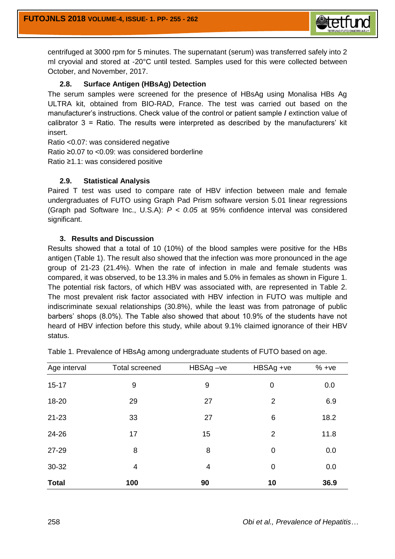

centrifuged at 3000 rpm for 5 minutes. The supernatant (serum) was transferred safely into 2 ml cryovial and stored at -20°C until tested. Samples used for this were collected between October, and November, 2017.

### **2.8. Surface Antigen (HBsAg) Detection**

The serum samples were screened for the presence of HBsAg using Monalisa HBs Ag ULTRA kit, obtained from BIO-RAD, France. The test was carried out based on the manufacturer's instructions. Check value of the control or patient sample **/** extinction value of calibrator 3 = Ratio. The results were interpreted as described by the manufacturers' kit insert.

Ratio <0.07: was considered negative Ratio ≥0.07 to <0.09: was considered borderline Ratio ≥1.1: was considered positive

#### **2.9. Statistical Analysis**

Paired T test was used to compare rate of HBV infection between male and female undergraduates of FUTO using Graph Pad Prism software version 5.01 linear regressions (Graph pad Software Inc., U.S.A): *P < 0.05* at 95% confidence interval was considered significant.

### **3. Results and Discussion**

Results showed that a total of 10 (10%) of the blood samples were positive for the HBs antigen (Table 1). The result also showed that the infection was more pronounced in the age group of 21-23 (21.4%). When the rate of infection in male and female students was compared, it was observed, to be 13.3% in males and 5.0% in females as shown in Figure 1. The potential risk factors, of which HBV was associated with, are represented in Table 2. The most prevalent risk factor associated with HBV infection in FUTO was multiple and indiscriminate sexual relationships (30.8%), while the least was from patronage of public barbers' shops (8.0%). The Table also showed that about 10.9% of the students have not heard of HBV infection before this study, while about 9.1% claimed ignorance of their HBV status.

| Age interval | <b>Total screened</b> | HBSAg-ve | HBSAg +ve      | $% +ve$ |
|--------------|-----------------------|----------|----------------|---------|
| $15 - 17$    | 9                     | 9        | 0              | 0.0     |
| 18-20        | 29                    | 27       | $\overline{2}$ | 6.9     |
| $21 - 23$    | 33                    | 27       | 6              | 18.2    |
| 24-26        | 17                    | 15       | $\overline{2}$ | 11.8    |
| 27-29        | 8                     | 8        | 0              | 0.0     |
| 30-32        | 4                     | 4        | 0              | 0.0     |
| <b>Total</b> | 100                   | 90       | 10             | 36.9    |

Table 1. Prevalence of HBsAg among undergraduate students of FUTO based on age.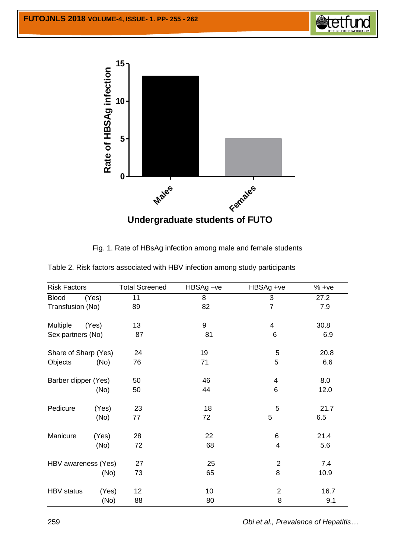

Fig. 1. Rate of HBsAg infection among male and female students

| <b>Risk Factors</b>  |       | <b>Total Screened</b> | $HBSAg -ve$ | HBSAg +ve       | $% +ve$ |
|----------------------|-------|-----------------------|-------------|-----------------|---------|
| <b>Blood</b>         | (Yes) | 11                    | 8           | 3               | 27.2    |
| Transfusion (No)     |       | 89                    | 82          | $\overline{7}$  | 7.9     |
| Multiple             | (Yes) | 13                    | 9           | 4               | 30.8    |
| Sex partners (No)    |       | 87                    | 81          | $\,6$           | 6.9     |
| Share of Sharp (Yes) |       | 24                    | 19          | 5               | 20.8    |
| Objects              | (No)  | 76                    | 71          | 5               | 6.6     |
| Barber clipper (Yes) |       | 50                    | 46          | $\overline{4}$  | 8.0     |
|                      | (No)  | 50                    | 44          | $6\phantom{1}6$ | 12.0    |
| Pedicure             | (Yes) | 23                    | 18          | 5               | 21.7    |
|                      | (No)  | 77                    | 72          | 5               | 6.5     |
| Manicure             | (Yes) | 28                    | 22          | 6               | 21.4    |
|                      | (No)  | 72                    | 68          | 4               | 5.6     |
| HBV awareness (Yes)  |       | 27                    | 25          | $\overline{2}$  | 7.4     |
|                      | (No)  | 73                    | 65          | 8               | 10.9    |
| <b>HBV</b> status    | (Yes) | 12                    | 10          | $\overline{2}$  | 16.7    |
|                      | (No)  | 88                    | 80          | 8               | 9.1     |

Table 2. Risk factors associated with HBV infection among study participants

259 *Obi et al., Prevalence of Hepatitis…*

**Stetft**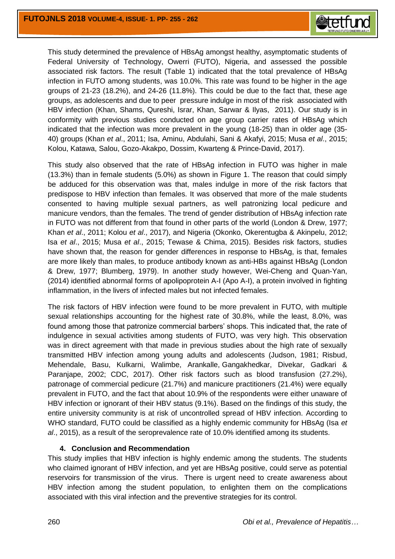

This study determined the prevalence of HBsAg amongst healthy, asymptomatic students of Federal University of Technology, Owerri (FUTO), Nigeria, and assessed the possible associated risk factors. The result (Table 1) indicated that the total prevalence of HBsAg infection in FUTO among students, was 10.0%. This rate was found to be higher in the age groups of 21-23 (18.2%), and 24-26 (11.8%). This could be due to the fact that, these age groups, as adolescents and due to peer pressure indulge in most of the risk associated with HBV infection (Khan, Shams, Qureshi, Israr, Khan, Sarwar & Ilyas, 2011). Our study is in conformity with previous studies conducted on age group carrier rates of HBsAg which indicated that the infection was more prevalent in the young (18-25) than in older age (35- 40) groups (Khan *et al*., 2011; Isa, Aminu, Abdulahi, Sani & Akafyi, 2015; Musa *et al*., 2015; Kolou, [Katawa,](https://www.ncbi.nlm.nih.gov/pubmed/?term=Katawa%20G%5BAuthor%5D&cauthor=true&cauthor_uid=28217218) [Salou,](https://www.ncbi.nlm.nih.gov/pubmed/?term=Salou%20M%5BAuthor%5D&cauthor=true&cauthor_uid=28217218) [Gozo-Akakpo,](https://www.ncbi.nlm.nih.gov/pubmed/?term=Gozo-Akakpo%20KS%5BAuthor%5D&cauthor=true&cauthor_uid=28217218) [Dossim,](https://www.ncbi.nlm.nih.gov/pubmed/?term=Dossim%20S%5BAuthor%5D&cauthor=true&cauthor_uid=28217218) [Kwarteng](https://www.ncbi.nlm.nih.gov/pubmed/?term=Kwarteng%20A%5BAuthor%5D&cauthor=true&cauthor_uid=28217218) & [Prince-David,](https://www.ncbi.nlm.nih.gov/pubmed/?term=Prince-David%20M%5BAuthor%5D&cauthor=true&cauthor_uid=28217218) 2017).

This study also observed that the rate of HBsAg infection in FUTO was higher in male (13.3%) than in female students (5.0%) as shown in Figure 1. The reason that could simply be adduced for this observation was that, males indulge in more of the risk factors that predispose to HBV infection than females. It was observed that more of the male students consented to having multiple sexual partners, as well patronizing local pedicure and manicure vendors, than the females. The trend of gender distribution of HBsAg infection rate in FUTO was not different from that found in other parts of the world (London & Drew, 1977; Khan *et al*., 2011; Kolou *et al*., 2017), and Nigeria (Okonko, Okerentugba & Akinpelu, 2012; Isa *et al*., 2015; Musa *et al*., 2015; Tewase & Chima, 2015). Besides risk factors, studies have shown that, the reason for gender differences in response to HBsAg, is that, females are more likely than males, to produce antibody known as anti-HBs against HBsAg (London & Drew, 1977; Blumberg, 1979). In another study however, Wei-Cheng and Quan-Yan, (2014) identified abnormal forms of apolipoprotein A-I (Apo A-I), a protein involved in fighting inflammation, in the livers of infected males but not infected females.

The risk factors of HBV infection were found to be more prevalent in FUTO, with multiple sexual relationships accounting for the highest rate of 30.8%, while the least, 8.0%, was found among those that patronize commercial barbers' shops. This indicated that, the rate of indulgence in sexual activities among students of FUTO, was very high. This observation was in direct agreement with that made in previous studies about the high rate of sexually transmitted HBV infection among young adults and adolescents (Judson, 1981; Risbud, Mehendale, Basu, Kulkarni, Walimbe, Arankalle, Gangakhedkar, Divekar, Gadkari & Paranjape, 2002; CDC, 2017). Other risk factors such as blood transfusion (27.2%), patronage of commercial pedicure (21.7%) and manicure practitioners (21.4%) were equally prevalent in FUTO, and the fact that about 10.9% of the respondents were either unaware of HBV infection or ignorant of their HBV status (9.1%). Based on the findings of this study, the entire university community is at risk of uncontrolled spread of HBV infection. According to WHO standard, FUTO could be classified as a highly endemic community for HBsAg (Isa *et al*., 2015), as a result of the seroprevalence rate of 10.0% identified among its students.

#### **4. Conclusion and Recommendation**

This study implies that HBV infection is highly endemic among the students. The students who claimed ignorant of HBV infection, and yet are HBsAg positive, could serve as potential reservoirs for transmission of the virus. There is urgent need to create awareness about HBV infection among the student population, to enlighten them on the complications associated with this viral infection and the preventive strategies for its control.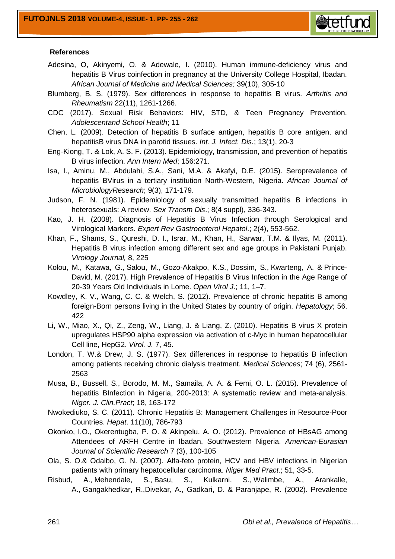

#### **References**

- Adesina, O, Akinyemi, O. & Adewale, I. (2010). Human immune-deficiency virus and hepatitis B Virus coinfection in pregnancy at the University College Hospital, Ibadan. *African Journal of Medicine and Medical Sciences;* 39(10), 305-10
- Blumberg, B. S. (1979). Sex differences in response to hepatitis B virus. *Arthritis and Rheumatism* 22(11), 1261-1266.
- CDC (2017). Sexual Risk Behaviors: HIV, STD, & Teen Pregnancy Prevention. *Adolescentand School Health*; 11
- Chen, L. (2009). Detection of hepatitis B surface antigen, hepatitis B core antigen, and hepatitisB virus DNA in parotid tissues. *Int. J. Infect. Dis.*; 13(1), 20-3
- Eng-Kiong, T. & Lok, A. S. F. (2013). Epidemiology, transmission, and prevention of hepatitis B virus infection. *Ann Intern Med*; 156:271.
- Isa, I., Aminu, M., Abdulahi, S.A., Sani, M.A. & Akafyi, D.E. (2015). Seroprevalence of hepatitis BVirus in a tertiary institution North-Western, Nigeria. *African Journal of MicrobiologyResearch*; 9(3), 171-179.
- [Judson,](https://www.ncbi.nlm.nih.gov/pubmed/?term=Judson%20FN%5BAuthor%5D&cauthor=true&cauthor_uid=6895799) F. N. (1981). Epidemiology of sexually transmitted hepatitis B infections in heterosexuals: A review. *[Sex Transm Dis](file:///C:/Users/Dr.%20Robert%20Obi/Desktop/HBSAg/Epidemiology%20of%20sexually%20transmitted%20hepatitis%20B%20infections%20in%20heterosexuals%20%20a%20review.%20-%20PubMed%20-%20NCBI.htm)*.; 8(4 suppl), 336-343.
- Kao, J. H. (2008). Diagnosis of Hepatitis B Virus Infection through Serological and Virological Markers. *Expert Rev Gastroenterol Hepatol*.; 2(4), 553-562.
- Khan, F., Shams, [S., Qureshi,](https://www.ncbi.nlm.nih.gov/pubmed/?term=Kolou%20M%5BAuthor%5D&cauthor=true&cauthor_uid=28217218) D. I., Israr, M., Khan, H., Sarwar, T.M. & Ilyas, M. (2011). [Hepatitis B virus infection among different sex and age groups in Pakistani Punjab.](https://www.ncbi.nlm.nih.gov/pubmed/?term=Kolou%20M%5BAuthor%5D&cauthor=true&cauthor_uid=28217218)  *[Virology Journal,](https://www.ncbi.nlm.nih.gov/pubmed/?term=Kolou%20M%5BAuthor%5D&cauthor=true&cauthor_uid=28217218)* 8, 225
- [Kolou,](https://www.ncbi.nlm.nih.gov/pubmed/?term=Kolou%20M%5BAuthor%5D&cauthor=true&cauthor_uid=28217218) M., [Katawa,](https://www.ncbi.nlm.nih.gov/pubmed/?term=Katawa%20G%5BAuthor%5D&cauthor=true&cauthor_uid=28217218) G., [Salou,](https://www.ncbi.nlm.nih.gov/pubmed/?term=Salou%20M%5BAuthor%5D&cauthor=true&cauthor_uid=28217218) M., [Gozo-Akakpo,](https://www.ncbi.nlm.nih.gov/pubmed/?term=Gozo-Akakpo%20KS%5BAuthor%5D&cauthor=true&cauthor_uid=28217218) K.S., [Dossim,](https://www.ncbi.nlm.nih.gov/pubmed/?term=Dossim%20S%5BAuthor%5D&cauthor=true&cauthor_uid=28217218) S., [Kwarteng,](https://www.ncbi.nlm.nih.gov/pubmed/?term=Kwarteng%20A%5BAuthor%5D&cauthor=true&cauthor_uid=28217218) A. & [Prince-](https://www.ncbi.nlm.nih.gov/pubmed/?term=Prince-David%20M%5BAuthor%5D&cauthor=true&cauthor_uid=28217218)[David,](https://www.ncbi.nlm.nih.gov/pubmed/?term=Prince-David%20M%5BAuthor%5D&cauthor=true&cauthor_uid=28217218) M. (2017). High Prevalence of Hepatitis B Virus Infection in the Age Range of 20-39 Years Old Individuals in Lome. *[Open Virol J](file:///C:/Users/Dr.%20Robert%20Obi/Desktop/HBSAg/High%20Prevalence%20of%20Hepatitis%20B%20Virus%20Infection%20in%20the%20Age%20Range%20of%2020-39%20Years%20Old%20Individuals%20in%20Lome.htm)*.; 11, 1–7.
- Kowdley, K. V., Wang, C. C. & Welch, S. (2012). Prevalence of chronic hepatitis B among foreign-Born persons living in the United States by country of origin. *Hepatology*; 56, 422
- Li, W., Miao, X., Qi, Z., Zeng, W., Liang, J. & Liang, Z. (2010). Hepatitis B virus X protein upregulates HSP90 alpha expression via activation of c-Myc in human hepatocellular Cell line, HepG2. *Virol. J.* 7, 45.
- London, T. W.& Drew, J. S. (1977). Sex differences in response to hepatitis B infection among patients receiving chronic dialysis treatment. *Medical Sciences*; 74 (6), 2561- 2563
- Musa, B., Bussell, S., Borodo, M. M., Samaila, A. A. & Femi, O. L. (2015). Prevalence of hepatitis BInfection in Nigeria, 200-2013: A systematic review and meta-analysis. *Niger. J. Clin.Pract*; 18, 163-172
- Nwokediuko, S. C. (2011). Chronic Hepatitis B: Management Challenges in Resource-Poor Countries. *Hepat*. 11(10), 786-793
- Okonko, I.O., Okerentugba, P. O. & Akinpelu, A. O. (2012). Prevalence of HBsAG among Attendees of ARFH Centre in Ibadan, Southwestern Nigeria. *American-Eurasian Journal of Scientific Research* 7 (3), 100-105
- Ola, S. O.& Odaibo, G. N. (2007). Alfa-feto protein, HCV and HBV infections in Nigerian patients with primary hepatocellular carcinoma. *Niger Med Pract*.; 51, 33-5.
- Risbud, A., Mehendale, S., Basu, S., Kulkarni, S., Walimbe, A., Arankalle, A., Gangakhedkar, R.,Divekar, A., Gadkari, D. & Paranjape, R. (2002). Prevalence